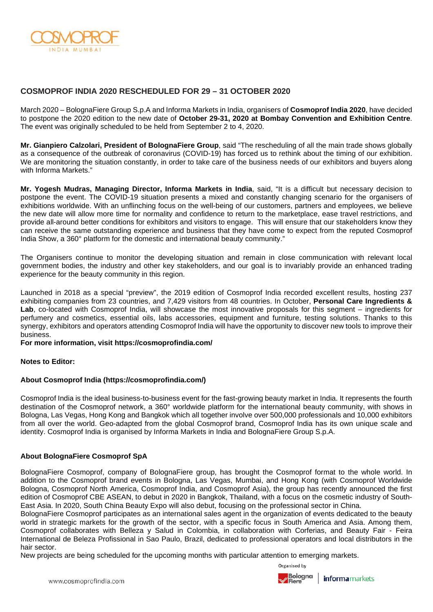

# **COSMOPROF INDIA 2020 RESCHEDULED FOR 29 – 31 OCTOBER 2020**

March 2020 – BolognaFiere Group S.p.A and Informa Markets in India, organisers of **Cosmoprof India 2020**, have decided to postpone the 2020 edition to the new date of **October 29-31, 2020 at Bombay Convention and Exhibition Centre**. The event was originally scheduled to be held from September 2 to 4, 2020.

**Mr. Gianpiero Calzolari, President of BolognaFiere Group**, said "The rescheduling of all the main trade shows globally as a consequence of the outbreak of coronavirus (COVID-19) has forced us to rethink about the timing of our exhibition. We are monitoring the situation constantly, in order to take care of the business needs of our exhibitors and buyers along with Informa Markets."

**Mr. Yogesh Mudras, Managing Director, Informa Markets in India**, said, "It is a difficult but necessary decision to postpone the event. The COVID-19 situation presents a mixed and constantly changing scenario for the organisers of exhibitions worldwide. With an unflinching focus on the well-being of our customers, partners and employees, we believe the new date will allow more time for normality and confidence to return to the marketplace, ease travel restrictions, and provide all-around better conditions for exhibitors and visitors to engage. This will ensure that our stakeholders know they can receive the same outstanding experience and business that they have come to expect from the reputed Cosmoprof India Show, a 360° platform for the domestic and international beauty community."

The Organisers continue to monitor the developing situation and remain in close communication with relevant local government bodies, the industry and other key stakeholders, and our goal is to invariably provide an enhanced trading experience for the beauty community in this region.

Launched in 2018 as a special "preview", the 2019 edition of Cosmoprof India recorded excellent results, hosting 237 exhibiting companies from 23 countries, and 7,429 visitors from 48 countries. In October, **Personal Care Ingredients &**  Lab, co-located with Cosmoprof India, will showcase the most innovative proposals for this segment – ingredients for perfumery and cosmetics, essential oils, labs accessories, equipment and furniture, testing solutions. Thanks to this synergy, exhibitors and operators attending Cosmoprof India will have the opportunity to discover new tools to improve their business.

### **For more information, visit https://cosmoprofindia.com/**

## **Notes to Editor:**

## **About Cosmoprof India (https://cosmoprofindia.com/)**

Cosmoprof India is the ideal business-to-business event for the fast-growing beauty market in India. It represents the fourth destination of the Cosmoprof network, a 360° worldwide platform for the international beauty community, with shows in Bologna, Las Vegas, Hong Kong and Bangkok which all together involve over 500,000 professionals and 10,000 exhibitors from all over the world. Geo-adapted from the global Cosmoprof brand, Cosmoprof India has its own unique scale and identity. Cosmoprof India is organised by Informa Markets in India and BolognaFiere Group S.p.A.

## **About BolognaFiere Cosmoprof SpA**

BolognaFiere Cosmoprof, company of BolognaFiere group, has brought the Cosmoprof format to the whole world. In addition to the Cosmoprof brand events in Bologna, Las Vegas, Mumbai, and Hong Kong (with Cosmoprof Worldwide Bologna, Cosmoprof North America, Cosmoprof India, and Cosmoprof Asia), the group has recently announced the first edition of Cosmoprof CBE ASEAN, to debut in 2020 in Bangkok, Thailand, with a focus on the cosmetic industry of South-East Asia. In 2020, South China Beauty Expo will also debut, focusing on the professional sector in China.

BolognaFiere Cosmoprof participates as an international sales agent in the organization of events dedicated to the beauty world in strategic markets for the growth of the sector, with a specific focus in South America and Asia. Among them, Cosmoprof collaborates with Belleza y Salud in Colombia, in collaboration with Corferias, and Beauty Fair - Feira International de Beleza Profissional in Sao Paulo, Brazil, dedicated to professional operators and local distributors in the hair sector.

New projects are being scheduled for the upcoming months with particular attention to emerging markets.

Organised by



Bologna